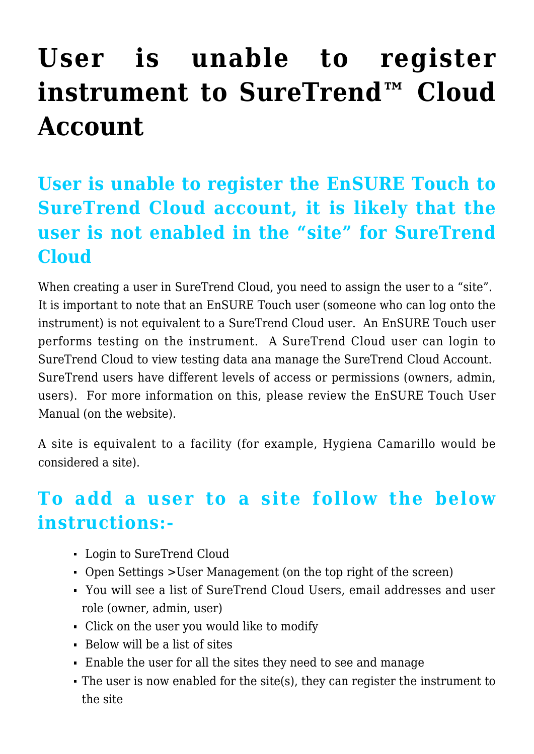## **[User is unable to register](https://help.hygiena.com/kb-doc/user-is-unable-to-register-instrument-to-suretrend-cloud-account/) [instrument to SureTrend™ Cloud](https://help.hygiena.com/kb-doc/user-is-unable-to-register-instrument-to-suretrend-cloud-account/) [Account](https://help.hygiena.com/kb-doc/user-is-unable-to-register-instrument-to-suretrend-cloud-account/)**

## **User is unable to register the EnSURE Touch to SureTrend Cloud account, it is likely that the user is not enabled in the "site" for SureTrend Cloud**

When creating a user in SureTrend Cloud, you need to assign the user to a "site". It is important to note that an EnSURE Touch user (someone who can log onto the instrument) is not equivalent to a SureTrend Cloud user. An EnSURE Touch user performs testing on the instrument. A SureTrend Cloud user can login to SureTrend Cloud to view testing data ana manage the SureTrend Cloud Account. SureTrend users have different levels of access or permissions (owners, admin, users). For more information on this, please review the EnSURE Touch User Manual (on the website).

A site is equivalent to a facility (for example, Hygiena Camarillo would be considered a site).

## **To add a user to a site follow the below instructions:-**

- Login to SureTrend Cloud
- Open Settings >User Management (on the top right of the screen)
- You will see a list of SureTrend Cloud Users, email addresses and user role (owner, admin, user)
- Click on the user you would like to modify
- $\blacksquare$  Below will be a list of sites
- Enable the user for all the sites they need to see and manage
- The user is now enabled for the site(s), they can register the instrument to the site